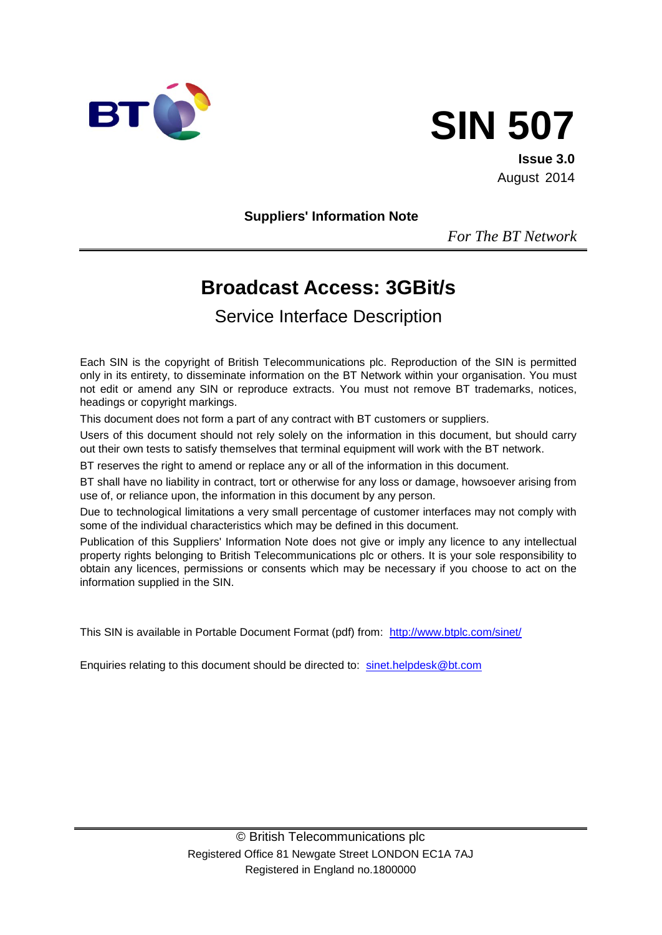



**Issue 3.0** August 2014

**Suppliers' Information Note**

*For The BT Network*

# **Broadcast Access: 3GBit/s**

Service Interface Description

Each SIN is the copyright of British Telecommunications plc. Reproduction of the SIN is permitted only in its entirety, to disseminate information on the BT Network within your organisation. You must not edit or amend any SIN or reproduce extracts. You must not remove BT trademarks, notices, headings or copyright markings.

This document does not form a part of any contract with BT customers or suppliers.

Users of this document should not rely solely on the information in this document, but should carry out their own tests to satisfy themselves that terminal equipment will work with the BT network.

BT reserves the right to amend or replace any or all of the information in this document.

BT shall have no liability in contract, tort or otherwise for any loss or damage, howsoever arising from use of, or reliance upon, the information in this document by any person.

Due to technological limitations a very small percentage of customer interfaces may not comply with some of the individual characteristics which may be defined in this document.

Publication of this Suppliers' Information Note does not give or imply any licence to any intellectual property rights belonging to British Telecommunications plc or others. It is your sole responsibility to obtain any licences, permissions or consents which may be necessary if you choose to act on the information supplied in the SIN.

This SIN is available in Portable Document Format (pdf) from: http://www.btplc.com/sinet/

Enquiries relating to this document should be directed to: sinet.helpdesk@bt.com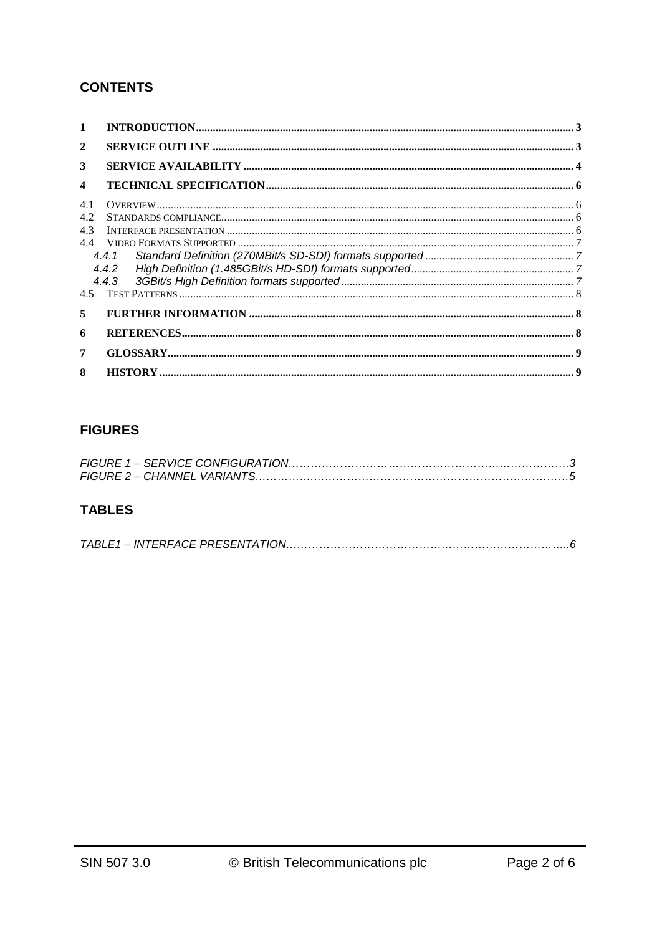## **CONTENTS**

| 1   |       |  |
|-----|-------|--|
| 2   |       |  |
| 3   |       |  |
| 4   |       |  |
| 4.1 |       |  |
| 4.2 |       |  |
| 4.3 |       |  |
| 44  |       |  |
|     | 4.4.1 |  |
|     | 4.4.2 |  |
|     |       |  |
| 4.5 |       |  |
| 5   |       |  |
| 6   |       |  |
| 7   |       |  |
| 8   |       |  |

# **FIGURES**

## **TABLES**

|--|--|--|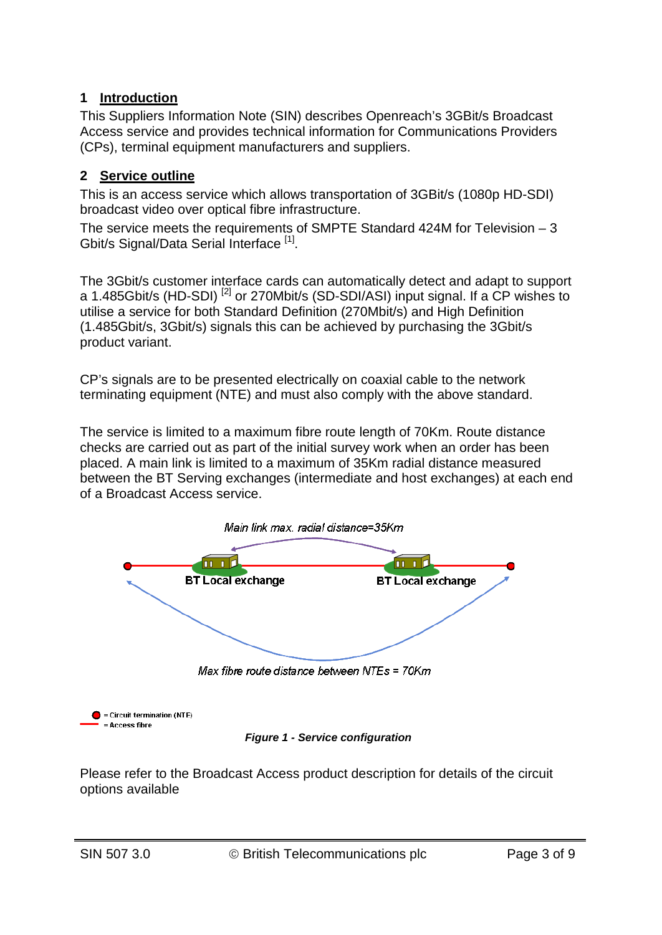## **1 Introduction**

This Suppliers Information Note (SIN) describes Openreach's 3GBit/s Broadcast Access service and provides technical information for Communications Providers (CPs), terminal equipment manufacturers and suppliers.

### **2 Service outline**

This is an access service which allows transportation of 3GBit/s (1080p HD-SDI) broadcast video over optical fibre infrastructure.

The service meets the requirements of SMPTE Standard 424M for Television – 3 Gbit/s Signal/Data Serial Interface<sup>[1]</sup>.

The 3Gbit/s customer interface cards can automatically detect and adapt to support a 1.485Gbit/s (HD-SDI)<sup>[2]</sup> or 270Mbit/s (SD-SDI/ASI) input signal. If a CP wishes to utilise a service for both Standard Definition (270Mbit/s) and High Definition (1.485Gbit/s, 3Gbit/s) signals this can be achieved by purchasing the 3Gbit/s product variant.

CP's signals are to be presented electrically on coaxial cable to the network terminating equipment (NTE) and must also comply with the above standard.

The service is limited to a maximum fibre route length of 70Km. Route distance checks are carried out as part of the initial survey work when an order has been placed. A main link is limited to a maximum of 35Km radial distance measured between the BT Serving exchanges (intermediate and host exchanges) at each end of a Broadcast Access service.





*Figure 1 - Service configuration*

Please refer to the Broadcast Access product description for details of the circuit options available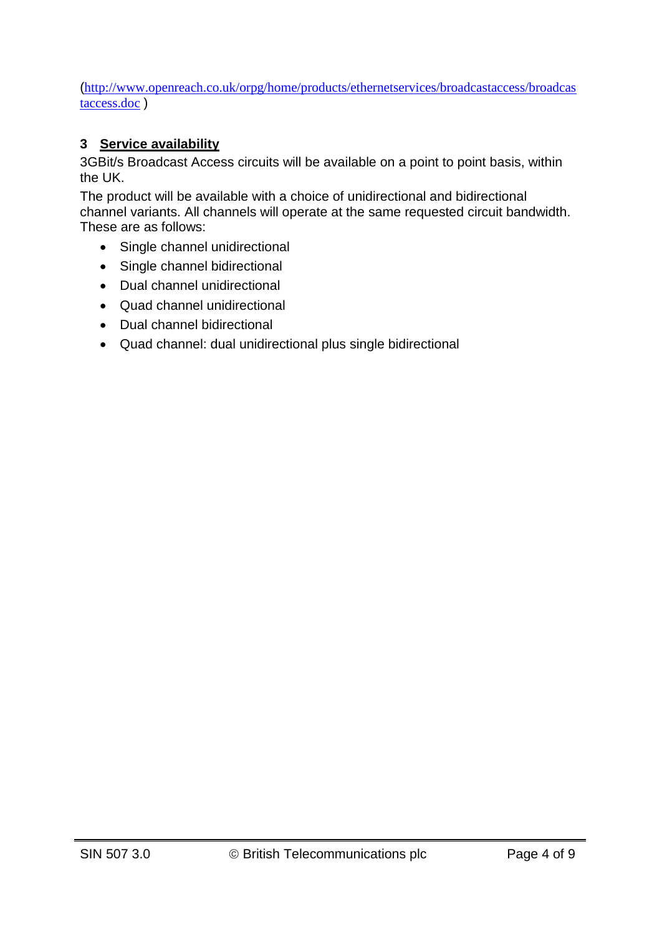([http://www.openreach.co.uk/orpg/home/products/ethernetservices/broadcastaccess/broadcas](http://www.openreach.co.uk/orpg/home/products/ethernetservices/broadcastaccess/broadcastaccess.doc) [taccess.doc](http://www.openreach.co.uk/orpg/home/products/ethernetservices/broadcastaccess/broadcastaccess.doc) )

## **3 Service availability**

3GBit/s Broadcast Access circuits will be available on a point to point basis, within the UK.

The product will be available with a choice of unidirectional and bidirectional channel variants. All channels will operate at the same requested circuit bandwidth. These are as follows:

- Single channel unidirectional
- Single channel bidirectional
- Dual channel unidirectional
- Quad channel unidirectional
- Dual channel bidirectional
- Quad channel: dual unidirectional plus single bidirectional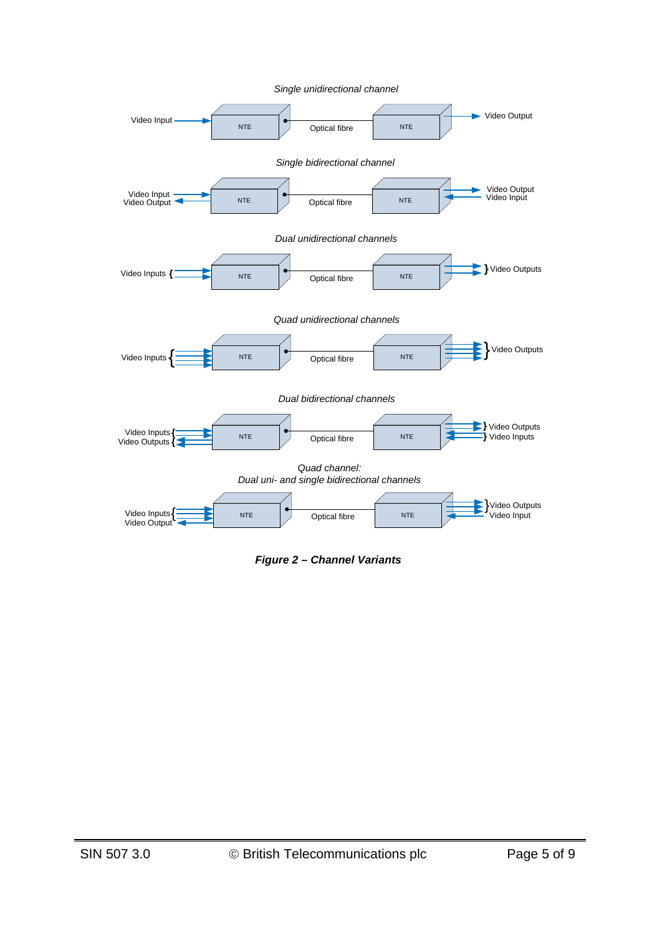

*Figure 2 – Channel Variants*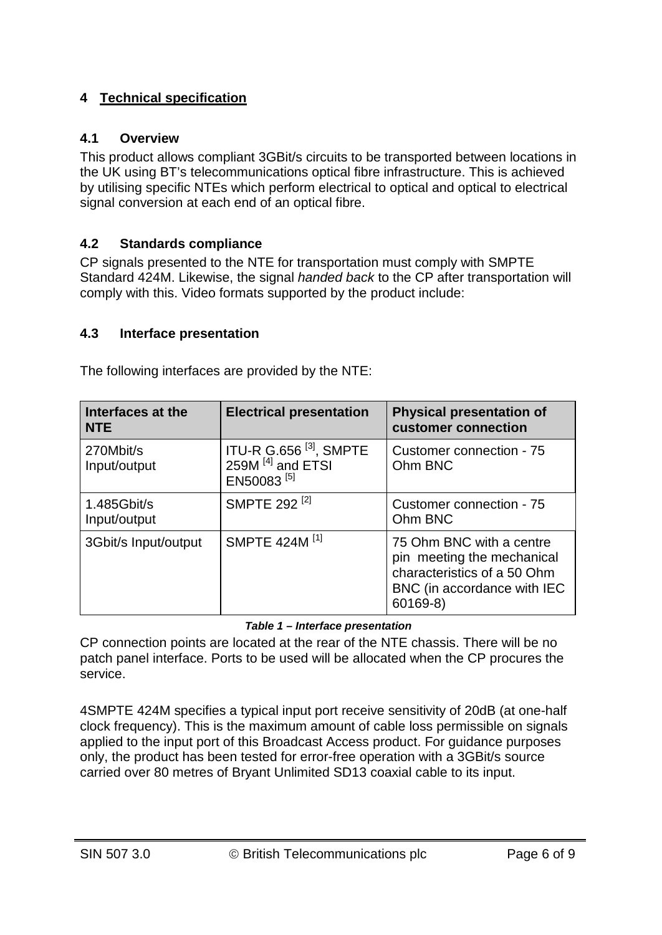## **4 Technical specification**

#### **4.1 Overview**

This product allows compliant 3GBit/s circuits to be transported between locations in the UK using BT's telecommunications optical fibre infrastructure. This is achieved by utilising specific NTEs which perform electrical to optical and optical to electrical signal conversion at each end of an optical fibre.

## **4.2 Standards compliance**

CP signals presented to the NTE for transportation must comply with SMPTE Standard 424M. Likewise, the signal *handed back* to the CP after transportation will comply with this. Video formats supported by the product include:

## **4.3 Interface presentation**

The following interfaces are provided by the NTE:

| Interfaces at the<br><b>NTE</b> | <b>Electrical presentation</b>                                                         | <b>Physical presentation of</b><br>customer connection                                                                           |
|---------------------------------|----------------------------------------------------------------------------------------|----------------------------------------------------------------------------------------------------------------------------------|
| 270Mbit/s<br>Input/output       | ITU-R G.656 $^{[3]}$ , SMPTE<br>259M <sup>[4]</sup> and ETSI<br>EN50083 <sup>[5]</sup> | Customer connection - 75<br>Ohm BNC                                                                                              |
| 1.485Gbit/s<br>Input/output     | SMPTE 292 <sup>[2]</sup>                                                               | Customer connection - 75<br>Ohm BNC                                                                                              |
| 3Gbit/s Input/output            | SMPTE 424M <sup>[1]</sup>                                                              | 75 Ohm BNC with a centre<br>pin meeting the mechanical<br>characteristics of a 50 Ohm<br>BNC (in accordance with IEC<br>60169-8) |

#### *Table 1 – Interface presentation*

CP connection points are located at the rear of the NTE chassis. There will be no patch panel interface. Ports to be used will be allocated when the CP procures the service.

4SMPTE 424M specifies a typical input port receive sensitivity of 20dB (at one-half clock frequency). This is the maximum amount of cable loss permissible on signals applied to the input port of this Broadcast Access product. For guidance purposes only, the product has been tested for error-free operation with a 3GBit/s source carried over 80 metres of Bryant Unlimited SD13 coaxial cable to its input.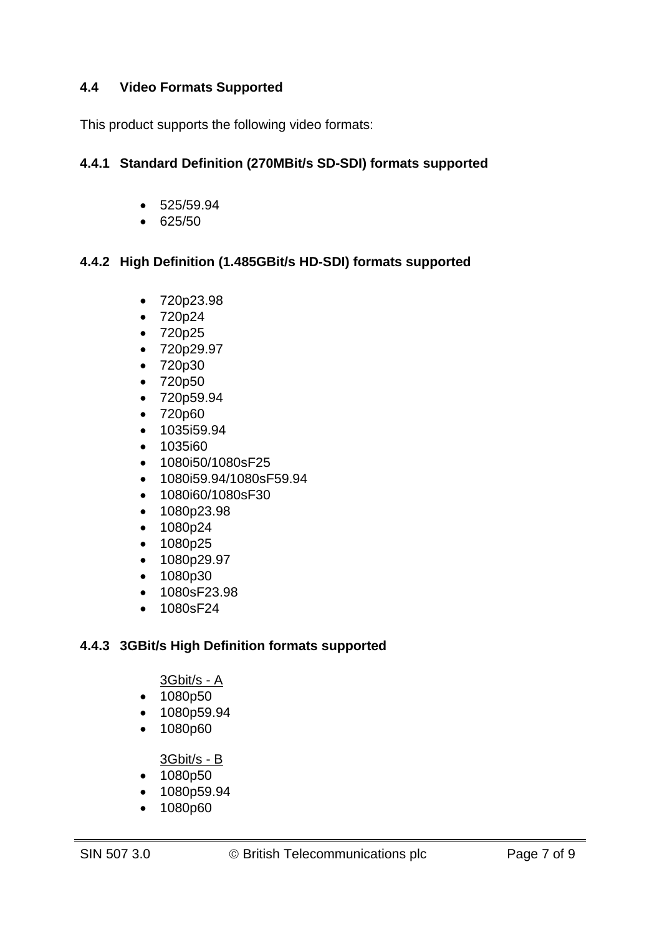### **4.4 Video Formats Supported**

This product supports the following video formats:

#### **4.4.1 Standard Definition (270MBit/s SD-SDI) formats supported**

- 525/59.94
- 625/50

#### **4.4.2 High Definition (1.485GBit/s HD-SDI) formats supported**

- 720p23.98
- 720p24
- 720p25
- 720p29.97
- 720p30
- 720p50
- 720p59.94
- 720p60
- 1035i59.94
- 1035i60
- 1080i50/1080sF25
- 1080i59.94/1080sF59.94
- 1080i60/1080sF30
- 1080p23.98
- 1080p24
- 1080p25
- 1080p29.97
- 1080p30
- 1080sF23.98
- 1080sF24

#### **4.4.3 3GBit/s High Definition formats supported**

#### 3Gbit/s - A

- 1080p50
- 1080p59.94
- 1080p60

3Gbit/s - B

- 1080p50
- 1080p59.94
- 1080p60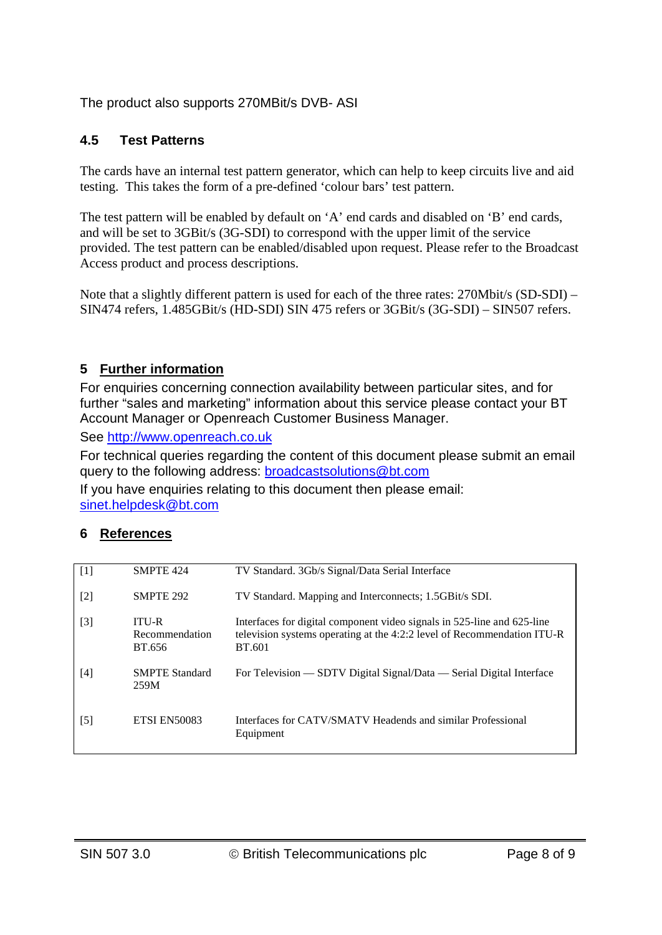The product also supports 270MBit/s DVB- ASI

## **4.5 Test Patterns**

The cards have an internal test pattern generator, which can help to keep circuits live and aid testing. This takes the form of a pre-defined 'colour bars' test pattern.

The test pattern will be enabled by default on 'A' end cards and disabled on 'B' end cards, and will be set to 3GBit/s (3G-SDI) to correspond with the upper limit of the service provided. The test pattern can be enabled/disabled upon request. Please refer to the Broadcast Access product and process descriptions.

Note that a slightly different pattern is used for each of the three rates: 270Mbit/s (SD-SDI) – SIN474 refers, 1.485GBit/s (HD-SDI) SIN 475 refers or 3GBit/s (3G-SDI) – SIN507 refers.

## **5 Further information**

For enquiries concerning connection availability between particular sites, and for further "sales and marketing" information about this service please contact your BT Account Manager or Openreach Customer Business Manager.

See [http://www.openreach.co.uk](http://www.openreach.co.uk/)

For technical queries regarding the content of this document please submit an email query to the following address: **broadcastsolutions@bt.com** 

If you have enquiries relating to this document then please email: [sinet.helpdesk@bt.com](mailto:sinet.helpdesk@bt.com)

## **6 References**

| $\lceil 1 \rceil$ | SMPTE 424                                | TV Standard. 3Gb/s Signal/Data Serial Interface                                                                                                              |
|-------------------|------------------------------------------|--------------------------------------------------------------------------------------------------------------------------------------------------------------|
| $\lceil 2 \rceil$ | SMPTE 292                                | TV Standard. Mapping and Interconnects; 1.5GBit/s SDI.                                                                                                       |
| $\lceil 3 \rceil$ | <b>ITU-R</b><br>Recommendation<br>BT.656 | Interfaces for digital component video signals in 525-line and 625-line<br>television systems operating at the 4:2:2 level of Recommendation ITU-R<br>BT.601 |
| [4]               | <b>SMPTE Standard</b><br>259M            | For Television — SDTV Digital Signal/Data — Serial Digital Interface                                                                                         |
| $\lceil 5 \rceil$ | <b>ETSI EN50083</b>                      | Interfaces for CATV/SMATV Headends and similar Professional<br>Equipment                                                                                     |